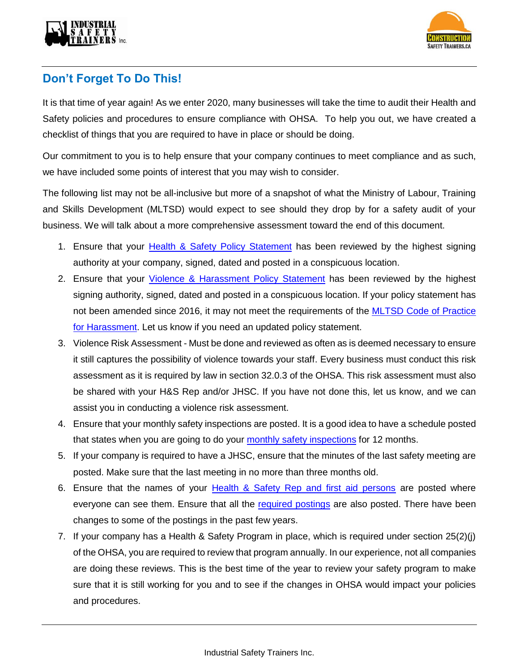



## **Don't Forget To Do This!**

It is that time of year again! As we enter 2020, many businesses will take the time to audit their Health and Safety policies and procedures to ensure compliance with OHSA. To help you out, we have created a checklist of things that you are required to have in place or should be doing.

Our commitment to you is to help ensure that your company continues to meet compliance and as such, we have included some points of interest that you may wish to consider.

The following list may not be all-inclusive but more of a snapshot of what the Ministry of Labour, Training and Skills Development (MLTSD) would expect to see should they drop by for a safety audit of your business. We will talk about a more comprehensive assessment toward the end of this document.

- 1. Ensure that your [Health & Safety Policy Statement](https://thesafetybus.com/wp-content/uploads/2020/02/Health__Safety_Policy_Statement.pdf) has been reviewed by the highest signing authority at your company, signed, dated and posted in a conspicuous location.
- 2. Ensure that your *Violence & Harassment Policy Statement* has been reviewed by the highest signing authority, signed, dated and posted in a conspicuous location. If your policy statement has not been amended since 2016, it may not meet the requirements of the MLTSD [Code of Practice](https://www.ontario.ca/page/code-practice-address-workplace-harassment)  [for Harassment.](https://www.ontario.ca/page/code-practice-address-workplace-harassment) Let us know if you need an updated policy statement.
- 3. Violence Risk Assessment Must be done and reviewed as often as is deemed necessary to ensure it still captures the possibility of violence towards your staff. Every business must conduct this risk assessment as it is required by law in section 32.0.3 of the OHSA. This risk assessment must also be shared with your H&S Rep and/or JHSC. If you have not done this, let us know, and we can assist you in conducting a violence risk assessment.
- 4. Ensure that your monthly safety inspections are posted. It is a good idea to have a schedule posted that states when you are going to do your monthly [safety inspections](https://thesafetybus.com/wp-content/uploads/2020/02/Safety-Inspections-Meeting-Schedules-2020.pdf) for 12 months.
- 5. If your company is required to have a JHSC, ensure that the minutes of the last safety meeting are posted. Make sure that the last meeting in no more than three months old.
- 6. Ensure that the names of your [Health & Safety Rep and first aid persons](https://thesafetybus.com/wp-content/uploads/2018/10/Emergency-Contacts1.pdf) are posted where everyone can see them. Ensure that all the [required postings](https://thesafetybus.com/wp-content/uploads/2018/06/Health-Safety-Posted-Materials.pdf) are also posted. There have been changes to some of the postings in the past few years.
- 7. If your company has a Health & Safety Program in place, which is required under section 25(2)(j) of the OHSA, you are required to review that program annually. In our experience, not all companies are doing these reviews. This is the best time of the year to review your safety program to make sure that it is still working for you and to see if the changes in OHSA would impact your policies and procedures.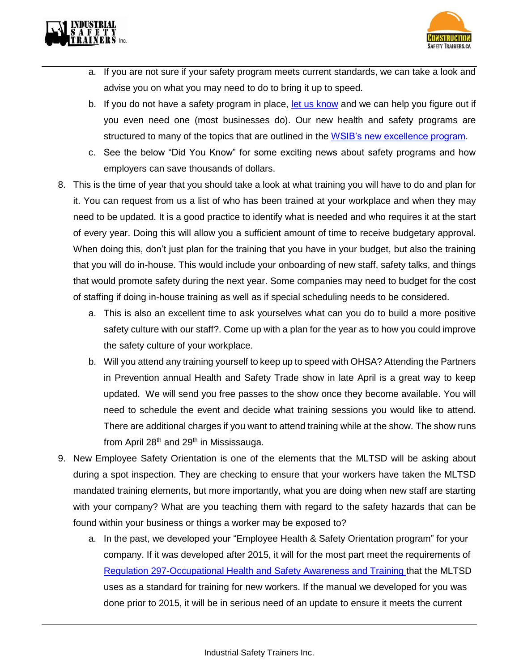



- a. If you are not sure if your safety program meets current standards, we can take a look and advise you on what you may need to do to bring it up to speed.
- b. If you do not have a safety program in place, [let us know](https://thesafetybus.com/contact-us/) and we can help you figure out if you even need one (most businesses do). Our new health and safety programs are structured to many of the topics that are outlined in the [WSIB's new excellence program.](https://thesafetybus.com/blog/new-accreditation-program-launched-rewarding-safe-companies/)
- c. See the below "Did You Know" for some exciting news about safety programs and how employers can save thousands of dollars.
- 8. This is the time of year that you should take a look at what training you will have to do and plan for it. You can request from us a list of who has been trained at your workplace and when they may need to be updated. It is a good practice to identify what is needed and who requires it at the start of every year. Doing this will allow you a sufficient amount of time to receive budgetary approval. When doing this, don't just plan for the training that you have in your budget, but also the training that you will do in-house. This would include your onboarding of new staff, safety talks, and things that would promote safety during the next year. Some companies may need to budget for the cost of staffing if doing in-house training as well as if special scheduling needs to be considered.
	- a. This is also an excellent time to ask yourselves what can you do to build a more positive safety culture with our staff?. Come up with a plan for the year as to how you could improve the safety culture of your workplace.
	- b. Will you attend any training yourself to keep up to speed with OHSA? Attending the Partners in Prevention annual Health and Safety Trade show in late April is a great way to keep updated. We will send you free passes to the show once they become available. You will need to schedule the event and decide what training sessions you would like to attend. There are additional charges if you want to attend training while at the show. The show runs from April  $28<sup>th</sup>$  and  $29<sup>th</sup>$  in Mississauga.
- 9. New Employee Safety Orientation is one of the elements that the MLTSD will be asking about during a spot inspection. They are checking to ensure that your workers have taken the MLTSD mandated training elements, but more importantly, what you are doing when new staff are starting with your company? What are you teaching them with regard to the safety hazards that can be found within your business or things a worker may be exposed to?
	- a. In the past, we developed your "Employee Health & Safety Orientation program" for your company. If it was developed after 2015, it will for the most part meet the requirements of Regulation [297-Occupational Health and Safety Awareness and Training](https://www.ontario.ca/laws/regulation/130297) that the MLTSD uses as a standard for training for new workers. If the manual we developed for you was done prior to 2015, it will be in serious need of an update to ensure it meets the current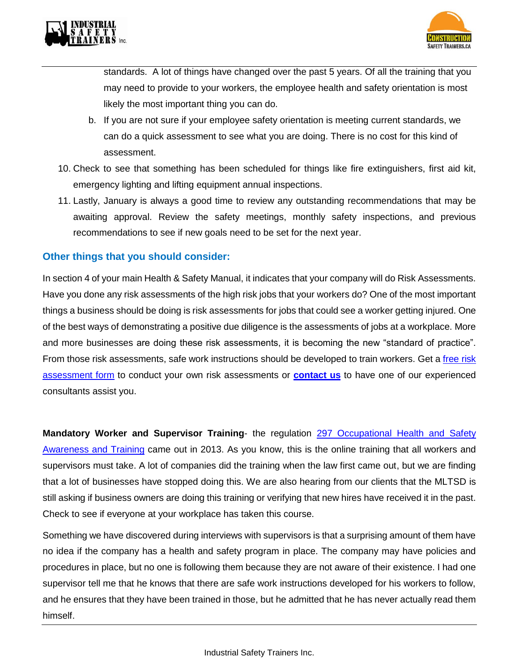



standards. A lot of things have changed over the past 5 years. Of all the training that you may need to provide to your workers, the employee health and safety orientation is most likely the most important thing you can do.

- b. If you are not sure if your employee safety orientation is meeting current standards, we can do a quick assessment to see what you are doing. There is no cost for this kind of assessment.
- 10. Check to see that something has been scheduled for things like fire extinguishers, first aid kit, emergency lighting and lifting equipment annual inspections.
- 11. Lastly, January is always a good time to review any outstanding recommendations that may be awaiting approval. Review the safety meetings, monthly safety inspections, and previous recommendations to see if new goals need to be set for the next year.

## **Other things that you should consider:**

In section 4 of your main Health & Safety Manual, it indicates that your company will do Risk Assessments. Have you done any risk assessments of the high risk jobs that your workers do? One of the most important things a business should be doing is risk assessments for jobs that could see a worker getting injured. One of the best ways of demonstrating a positive due diligence is the assessments of jobs at a workplace. More and more businesses are doing these risk assessments, it is becoming the new "standard of practice". From those risk assessments, safe work instructions should be developed to train workers. Get a free risk [assessment form](https://thesafetybus.com/wp-content/uploads/2020/02/Hazard-Identification-and-Risk-Assessment-Form-v220119.pdf) to conduct your own risk assessments or **[contact us](mailto:jiun@istcanada.ca)** to have one of our experienced consultants assist you.

**Mandatory Worker and Supervisor Training-** the regulation 297 Occupational Health and Safety [Awareness and Training](https://www.ontario.ca/laws/regulation/130297) came out in 2013. As you know, this is the online training that all workers and supervisors must take. A lot of companies did the training when the law first came out, but we are finding that a lot of businesses have stopped doing this. We are also hearing from our clients that the MLTSD is still asking if business owners are doing this training or verifying that new hires have received it in the past. Check to see if everyone at your workplace has taken this course.

Something we have discovered during interviews with supervisors is that a surprising amount of them have no idea if the company has a health and safety program in place. The company may have policies and procedures in place, but no one is following them because they are not aware of their existence. I had one supervisor tell me that he knows that there are safe work instructions developed for his workers to follow, and he ensures that they have been trained in those, but he admitted that he has never actually read them himself.